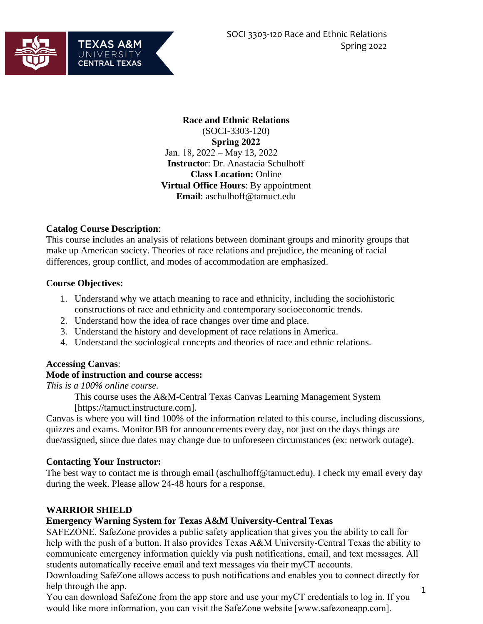

**Race and Ethnic Relations**  (SOCI-3303-120) **Spring 2022** Jan. 18, 2022 – May 13, 2022 **Instructo**r: Dr. Anastacia Schulhoff **Class Location:** Online **Virtual Office Hours**: By appointment **Email**: aschulhoff@tamuct.edu

#### **Catalog Course Description**:

This course **i**ncludes an analysis of relations between dominant groups and minority groups that make up American society. Theories of race relations and prejudice, the meaning of racial differences, group conflict, and modes of accommodation are emphasized.

#### **Course Objectives:**

- 1. Understand why we attach meaning to race and ethnicity, including the sociohistoric constructions of race and ethnicity and contemporary socioeconomic trends.
- 2. Understand how the idea of race changes over time and place.
- 3. Understand the history and development of race relations in America.
- 4. Understand the sociological concepts and theories of race and ethnic relations.

## **Accessing Canvas**:

#### **Mode of instruction and course access:**

*This is a 100% online course.* 

This course uses the A&M-Central Texas Canvas Learning Management System [https://tamuct.instructure.com].

Canvas is where you will find 100% of the information related to this course, including discussions, quizzes and exams. Monitor BB for announcements every day, not just on the days things are due/assigned, since due dates may change due to unforeseen circumstances (ex: network outage).

#### **Contacting Your Instructor:**

The best way to contact me is through email (aschulhoff@tamuct.edu). I check my email every day during the week. Please allow 24-48 hours for a response.

#### **WARRIOR SHIELD**

#### **Emergency Warning System for Texas A&M University-Central Texas**

SAFEZONE. SafeZone provides a public safety application that gives you the ability to call for help with the push of a button. It also provides Texas A&M University-Central Texas the ability to communicate emergency information quickly via push notifications, email, and text messages. All students automatically receive email and text messages via their myCT accounts.

Downloading SafeZone allows access to push notifications and enables you to connect directly for help through the app.

You can download SafeZone from the app store and use your myCT credentials to log in. If you would like more information, you can visit the SafeZone website [www.safezoneapp.com].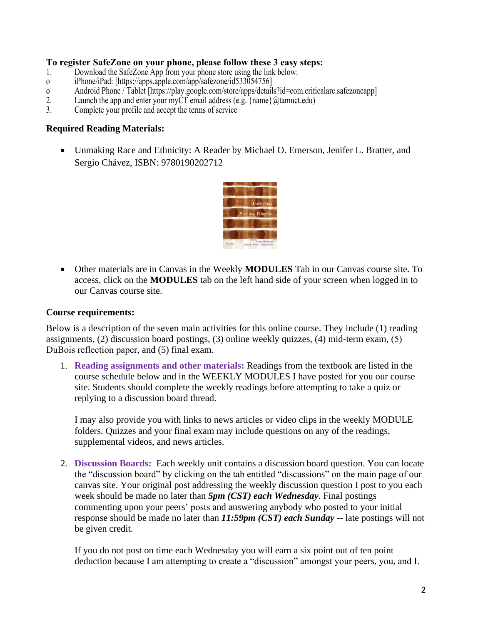#### **To register SafeZone on your phone, please follow these 3 easy steps:**

- 1. Download the SafeZone App from your phone store using the link below:
- o iPhone/iPad: [https://apps.apple.com/app/safezone/id533054756]
- o Android Phone / Tablet [https://play.google.com/store/apps/details?id=com.criticalarc.safezoneapp]<br>2. Launch the app and enter your myCT email address (e.g. {name}@tamuct.edu}
- 2. Launch the app and enter your myCT email address (e.g.  $\{\text{name}\}\omega\$  (atamuct.edu)<br>3. Complete your profile and accept the terms of service
- Complete your profile and accept the terms of service

#### **Required Reading Materials:**

• Unmaking Race and Ethnicity: A Reader by Michael O. Emerson, Jenifer L. Bratter, and Sergio Chávez, ISBN: 9780190202712



• Other materials are in Canvas in the Weekly **MODULES** Tab in our Canvas course site. To access, click on the **MODULES** tab on the left hand side of your screen when logged in to our Canvas course site.

#### **Course requirements:**

Below is a description of the seven main activities for this online course. They include (1) reading assignments, (2) discussion board postings, (3) online weekly quizzes, (4) mid-term exam, (5) DuBois reflection paper, and (5) final exam.

1. **Reading assignments and other materials:** Readings from the textbook are listed in the course schedule below and in the WEEKLY MODULES I have posted for you our course site. Students should complete the weekly readings before attempting to take a quiz or replying to a discussion board thread.

I may also provide you with links to news articles or video clips in the weekly MODULE folders. Quizzes and your final exam may include questions on any of the readings, supplemental videos, and news articles.

2. **Discussion Boards:** Each weekly unit contains a discussion board question. You can locate the "discussion board" by clicking on the tab entitled "discussions" on the main page of our canvas site. Your original post addressing the weekly discussion question I post to you each week should be made no later than *5pm (CST) each Wednesday*. Final postings commenting upon your peers' posts and answering anybody who posted to your initial response should be made no later than *11:59pm (CST) each Sunday* -- late postings will not be given credit.

If you do not post on time each Wednesday you will earn a six point out of ten point deduction because I am attempting to create a "discussion" amongst your peers, you, and I.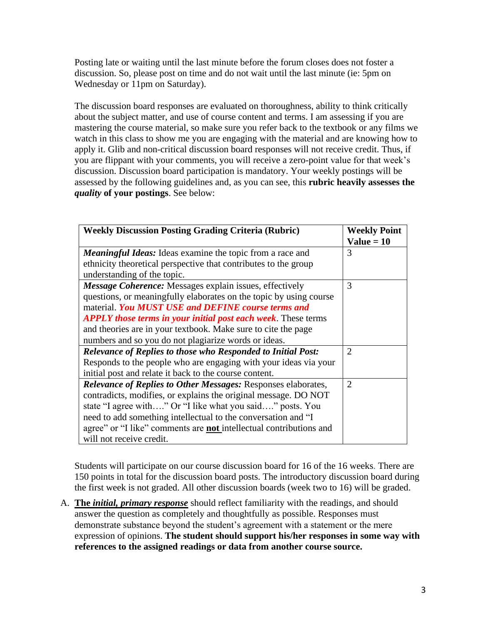Posting late or waiting until the last minute before the forum closes does not foster a discussion. So, please post on time and do not wait until the last minute (ie: 5pm on Wednesday or 11pm on Saturday).

The discussion board responses are evaluated on thoroughness, ability to think critically about the subject matter, and use of course content and terms. I am assessing if you are mastering the course material, so make sure you refer back to the textbook or any films we watch in this class to show me you are engaging with the material and are knowing how to apply it. Glib and non-critical discussion board responses will not receive credit. Thus, if you are flippant with your comments, you will receive a zero-point value for that week's discussion. Discussion board participation is mandatory. Your weekly postings will be assessed by the following guidelines and, as you can see, this **rubric heavily assesses the**  *quality* **of your postings**. See below:

| <b>Weekly Discussion Posting Grading Criteria (Rubric)</b>                | <b>Weekly Point</b>         |
|---------------------------------------------------------------------------|-----------------------------|
|                                                                           | $Value = 10$                |
| <b>Meaningful Ideas:</b> Ideas examine the topic from a race and          | 3                           |
| ethnicity theoretical perspective that contributes to the group           |                             |
| understanding of the topic.                                               |                             |
| <b>Message Coherence:</b> Messages explain issues, effectively            | 3                           |
| questions, or meaningfully elaborates on the topic by using course        |                             |
| material. You MUST USE and DEFINE course terms and                        |                             |
| <b>APPLY those terms in your initial post each week.</b> These terms      |                             |
| and theories are in your textbook. Make sure to cite the page             |                             |
| numbers and so you do not plagiarize words or ideas.                      |                             |
| <b>Relevance of Replies to those who Responded to Initial Post:</b>       | $\overline{2}$              |
| Responds to the people who are engaging with your ideas via your          |                             |
| initial post and relate it back to the course content.                    |                             |
| <b>Relevance of Replies to Other Messages: Responses elaborates,</b>      | $\mathcal{D}_{\mathcal{L}}$ |
| contradicts, modifies, or explains the original message. DO NOT           |                             |
| state "I agree with" Or "I like what you said" posts. You                 |                             |
| need to add something intellectual to the conversation and "I             |                             |
| agree" or "I like" comments are <b>not</b> intellectual contributions and |                             |
| will not receive credit.                                                  |                             |

Students will participate on our course discussion board for 16 of the 16 weeks. There are 150 points in total for the discussion board posts. The introductory discussion board during the first week is not graded. All other discussion boards (week two to 16) will be graded.

A. **The** *initial, primary response* should reflect familiarity with the readings, and should answer the question as completely and thoughtfully as possible. Responses must demonstrate substance beyond the student's agreement with a statement or the mere expression of opinions. **The student should support his/her responses in some way with references to the assigned readings or data from another course source.**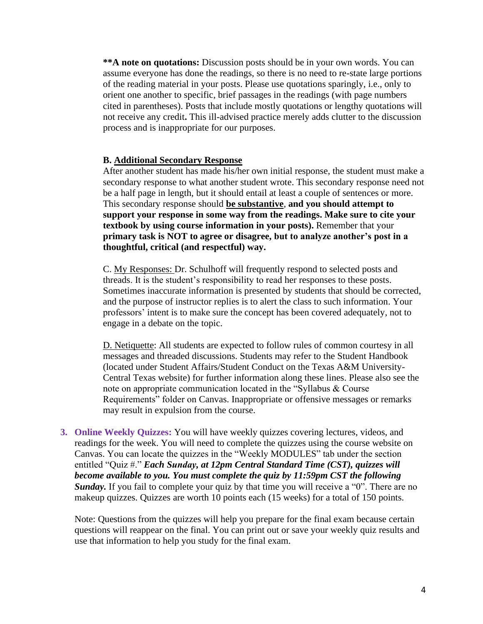**\*\*A note on quotations:** Discussion posts should be in your own words. You can assume everyone has done the readings, so there is no need to re-state large portions of the reading material in your posts. Please use quotations sparingly, i.e., only to orient one another to specific, brief passages in the readings (with page numbers cited in parentheses). Posts that include mostly quotations or lengthy quotations will not receive any credit**.** This ill-advised practice merely adds clutter to the discussion process and is inappropriate for our purposes.

#### **B. Additional Secondary Response**

After another student has made his/her own initial response, the student must make a secondary response to what another student wrote. This secondary response need not be a half page in length, but it should entail at least a couple of sentences or more. This secondary response should **be substantive**, **and you should attempt to support your response in some way from the readings. Make sure to cite your textbook by using course information in your posts).** Remember that your **primary task is NOT to agree or disagree, but to analyze another's post in a thoughtful, critical (and respectful) way.**

C. My Responses: Dr. Schulhoff will frequently respond to selected posts and threads. It is the student's responsibility to read her responses to these posts. Sometimes inaccurate information is presented by students that should be corrected, and the purpose of instructor replies is to alert the class to such information. Your professors' intent is to make sure the concept has been covered adequately, not to engage in a debate on the topic.

D. Netiquette: All students are expected to follow rules of common courtesy in all messages and threaded discussions. Students may refer to the Student Handbook (located under Student Affairs/Student Conduct on the Texas A&M University-Central Texas website) for further information along these lines. Please also see the note on appropriate communication located in the "Syllabus & Course Requirements" folder on Canvas. Inappropriate or offensive messages or remarks may result in expulsion from the course.

**3. Online Weekly Quizzes:** You will have weekly quizzes covering lectures, videos, and readings for the week. You will need to complete the quizzes using the course website on Canvas. You can locate the quizzes in the "Weekly MODULES" tab under the section entitled "Quiz #." *Each Sunday, at 12pm Central Standard Time (CST), quizzes will become available to you. You must complete the quiz by 11:59pm CST the following Sunday*. If you fail to complete your quiz by that time you will receive a "0". There are no makeup quizzes. Quizzes are worth 10 points each (15 weeks) for a total of 150 points.

Note: Questions from the quizzes will help you prepare for the final exam because certain questions will reappear on the final. You can print out or save your weekly quiz results and use that information to help you study for the final exam.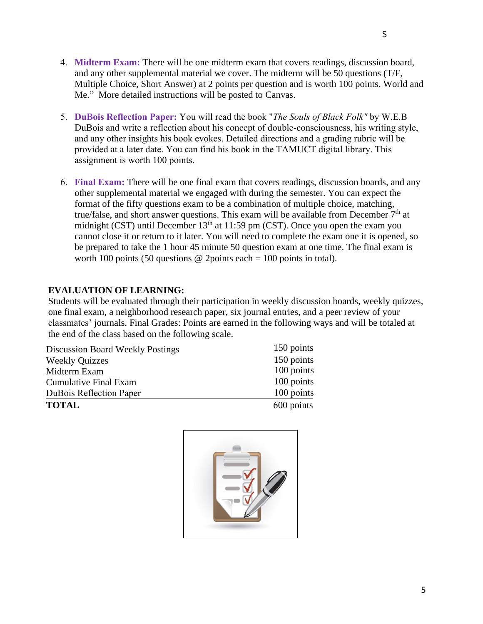- 4. **Midterm Exam:** There will be one midterm exam that covers readings, discussion board, and any other supplemental material we cover. The midterm will be 50 questions (T/F, Multiple Choice, Short Answer) at 2 points per question and is worth 100 points. World and Me." More detailed instructions will be posted to Canvas.
- 5. **DuBois Reflection Paper:** You will read the book "*The Souls of Black Folk"* by W.E.B DuBois and write a reflection about his concept of double-consciousness, his writing style, and any other insights his book evokes. Detailed directions and a grading rubric will be provided at a later date. You can find his book in the TAMUCT digital library. This assignment is worth 100 points.
- 6. **Final Exam:** There will be one final exam that covers readings, discussion boards, and any other supplemental material we engaged with during the semester. You can expect the format of the fifty questions exam to be a combination of multiple choice, matching, true/false, and short answer questions. This exam will be available from December  $7<sup>th</sup>$  at midnight (CST) until December  $13<sup>th</sup>$  at 11:59 pm (CST). Once you open the exam you cannot close it or return to it later. You will need to complete the exam one it is opened, so be prepared to take the 1 hour 45 minute 50 question exam at one time. The final exam is worth 100 points (50 questions @ 2points each = 100 points in total).

## **EVALUATION OF LEARNING:**

Students will be evaluated through their participation in weekly discussion boards, weekly quizzes, one final exam, a neighborhood research paper, six journal entries, and a peer review of your classmates' journals. Final Grades: Points are earned in the following ways and will be totaled at the end of the class based on the following scale.

| <b>Weekly Quizzes</b><br>Midterm Exam | 150 points<br>100 points |
|---------------------------------------|--------------------------|
| <b>Cumulative Final Exam</b>          | 100 points               |
| <b>DuBois Reflection Paper</b>        | 100 points               |
| <b>TOTAL</b>                          | 600 points               |

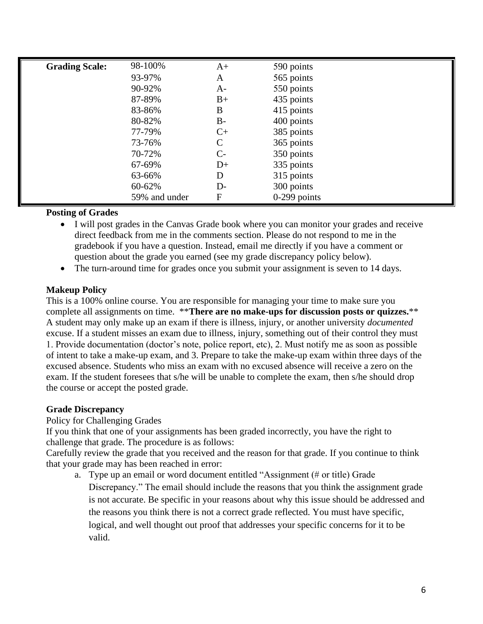| <b>Grading Scale:</b> | 98-100%       | $A+$          | 590 points     |
|-----------------------|---------------|---------------|----------------|
|                       | 93-97%        | A             | 565 points     |
|                       | 90-92%        | $A-$          | 550 points     |
|                       | 87-89%        | $B+$          | 435 points     |
|                       | 83-86%        | B             | 415 points     |
|                       | 80-82%        | $B -$         | 400 points     |
|                       | 77-79%        | $C+$          | 385 points     |
|                       | 73-76%        | $\mathcal{C}$ | 365 points     |
|                       | 70-72%        | $C-$          | 350 points     |
|                       | 67-69%        | $D+$          | 335 points     |
|                       | 63-66%        | D             | 315 points     |
|                       | 60-62%        | D-            | 300 points     |
|                       | 59% and under | F             | $0-299$ points |

## **Posting of Grades**

- I will post grades in the Canvas Grade book where you can monitor your grades and receive direct feedback from me in the comments section. Please do not respond to me in the gradebook if you have a question. Instead, email me directly if you have a comment or question about the grade you earned (see my grade discrepancy policy below).
- The turn-around time for grades once you submit your assignment is seven to 14 days.

## **Makeup Policy**

This is a 100% online course. You are responsible for managing your time to make sure you complete all assignments on time. \*\***There are no make-ups for discussion posts or quizzes.**\*\* A student may only make up an exam if there is illness, injury, or another university *documented* excuse. If a student misses an exam due to illness, injury, something out of their control they must 1. Provide documentation (doctor's note, police report, etc), 2. Must notify me as soon as possible of intent to take a make-up exam, and 3. Prepare to take the make-up exam within three days of the excused absence. Students who miss an exam with no excused absence will receive a zero on the exam. If the student foresees that s/he will be unable to complete the exam, then s/he should drop the course or accept the posted grade.

# **Grade Discrepancy**

Policy for Challenging Grades

If you think that one of your assignments has been graded incorrectly, you have the right to challenge that grade. The procedure is as follows:

Carefully review the grade that you received and the reason for that grade. If you continue to think that your grade may has been reached in error:

a. Type up an email or word document entitled "Assignment (# or title) Grade Discrepancy." The email should include the reasons that you think the assignment grade is not accurate. Be specific in your reasons about why this issue should be addressed and the reasons you think there is not a correct grade reflected. You must have specific, logical, and well thought out proof that addresses your specific concerns for it to be valid.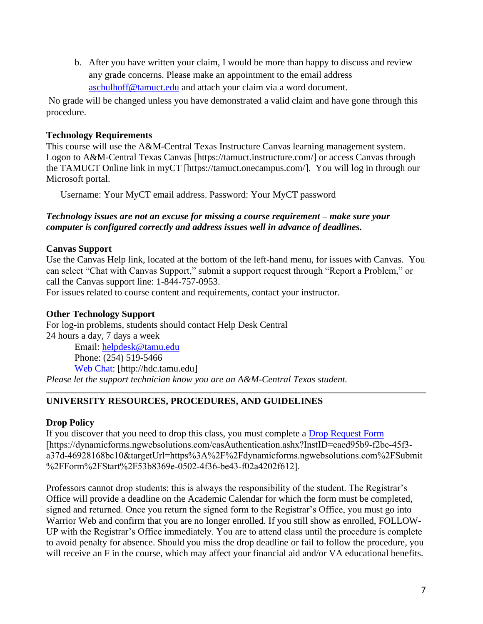b. After you have written your claim, I would be more than happy to discuss and review any grade concerns. Please make an appointment to the email address [aschulhoff@tamuct.edu](mailto:aschulhoff@tamuct.edu) and attach your claim via a word document.

No grade will be changed unless you have demonstrated a valid claim and have gone through this procedure.

## **Technology Requirements**

This course will use the A&M-Central Texas Instructure Canvas learning management system. Logon to A&M-Central Texas Canvas [https://tamuct.instructure.com/] or access Canvas through the TAMUCT Online link in myCT [https://tamuct.onecampus.com/]. You will log in through our Microsoft portal.

Username: Your MyCT email address. Password: Your MyCT password

## *Technology issues are not an excuse for missing a course requirement – make sure your computer is configured correctly and address issues well in advance of deadlines.*

## **Canvas Support**

Use the Canvas Help link, located at the bottom of the left-hand menu, for issues with Canvas. You can select "Chat with Canvas Support," submit a support request through "Report a Problem," or call the Canvas support line: 1-844-757-0953.

For issues related to course content and requirements, contact your instructor.

## **Other Technology Support**

For log-in problems, students should contact Help Desk Central 24 hours a day, 7 days a week Email: [helpdesk@tamu.edu](mailto:helpdesk@tamu.edu) Phone: (254) 519-5466 [Web Chat:](http://hdc.tamu.edu/) [http://hdc.tamu.edu]

*Please let the support technician know you are an A&M-Central Texas student.*

# **UNIVERSITY RESOURCES, PROCEDURES, AND GUIDELINES**

## **Drop Policy**

If you discover that you need to drop this class, you must complete a [Drop Request Form](https://www.tamuct.edu/registrar/docs/Drop_Request_Form.pdf) [https://dynamicforms.ngwebsolutions.com/casAuthentication.ashx?InstID=eaed95b9-f2be-45f3 a37d-46928168bc10&targetUrl=https%3A%2F%2Fdynamicforms.ngwebsolutions.com%2FSubmit %2FForm%2FStart%2F53b8369e-0502-4f36-be43-f02a4202f612].

Professors cannot drop students; this is always the responsibility of the student. The Registrar's Office will provide a deadline on the Academic Calendar for which the form must be completed, signed and returned. Once you return the signed form to the Registrar's Office, you must go into Warrior Web and confirm that you are no longer enrolled. If you still show as enrolled, FOLLOW-UP with the Registrar's Office immediately. You are to attend class until the procedure is complete to avoid penalty for absence. Should you miss the drop deadline or fail to follow the procedure, you will receive an F in the course, which may affect your financial aid and/or VA educational benefits.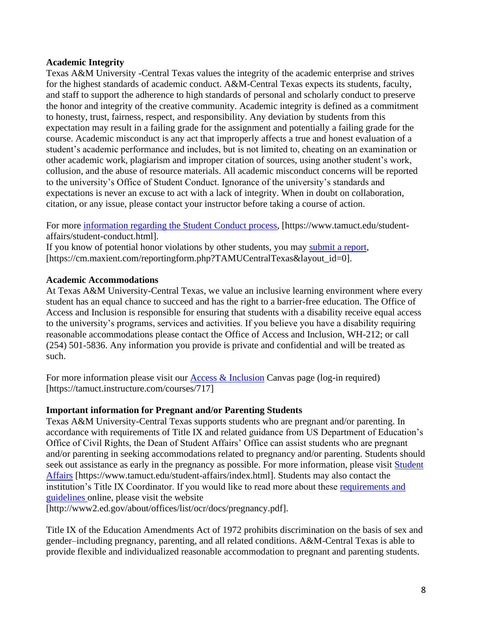#### **Academic Integrity**

Texas A&M University -Central Texas values the integrity of the academic enterprise and strives for the highest standards of academic conduct. A&M-Central Texas expects its students, faculty, and staff to support the adherence to high standards of personal and scholarly conduct to preserve the honor and integrity of the creative community. Academic integrity is defined as a commitment to honesty, trust, fairness, respect, and responsibility. Any deviation by students from this expectation may result in a failing grade for the assignment and potentially a failing grade for the course. Academic misconduct is any act that improperly affects a true and honest evaluation of a student's academic performance and includes, but is not limited to, cheating on an examination or other academic work, plagiarism and improper citation of sources, using another student's work, collusion, and the abuse of resource materials. All academic misconduct concerns will be reported to the university's Office of Student Conduct. Ignorance of the university's standards and expectations is never an excuse to act with a lack of integrity. When in doubt on collaboration, citation, or any issue, please contact your instructor before taking a course of action.

For more [information regarding the Student Conduct process,](https://www.tamuct.edu/student-affairs/student-conduct.html) [https://www.tamuct.edu/studentaffairs/student-conduct.html].

If you know of potential honor violations by other students, you may [submit a report,](https://cm.maxient.com/reportingform.php?TAMUCentralTexas&layout_id=0) [https://cm.maxient.com/reportingform.php?TAMUCentralTexas&layout\_id=0].

#### **Academic Accommodations**

At Texas A&M University-Central Texas, we value an inclusive learning environment where every student has an equal chance to succeed and has the right to a barrier-free education. The Office of Access and Inclusion is responsible for ensuring that students with a disability receive equal access to the university's programs, services and activities. If you believe you have a disability requiring reasonable accommodations please contact the Office of Access and Inclusion, WH-212; or call (254) 501-5836. Any information you provide is private and confidential and will be treated as such.

For more information please visit our [Access & Inclusion](https://tamuct.instructure.com/courses/717) Canvas page (log-in required) [https://tamuct.instructure.com/courses/717]

#### **Important information for Pregnant and/or Parenting Students**

Texas A&M University-Central Texas supports students who are pregnant and/or parenting. In accordance with requirements of Title IX and related guidance from US Department of Education's Office of Civil Rights, the Dean of Student Affairs' Office can assist students who are pregnant and/or parenting in seeking accommodations related to pregnancy and/or parenting. Students should seek out assistance as early in the pregnancy as possible. For more information, please visit Student [Affairs](https://www.tamuct.edu/student-affairs/index.html) [https://www.tamuct.edu/student-affairs/index.html]. Students may also contact the institution's Title IX Coordinator. If you would like to read more about these [requirements and](http://www2.ed.gov/about/offices/list/ocr/docs/pregnancy.pdf)  [guidelines](http://www2.ed.gov/about/offices/list/ocr/docs/pregnancy.pdf) online, please visit the website

[http://www2.ed.gov/about/offices/list/ocr/docs/pregnancy.pdf].

Title IX of the Education Amendments Act of 1972 prohibits discrimination on the basis of sex and gender–including pregnancy, parenting, and all related conditions. A&M-Central Texas is able to provide flexible and individualized reasonable accommodation to pregnant and parenting students.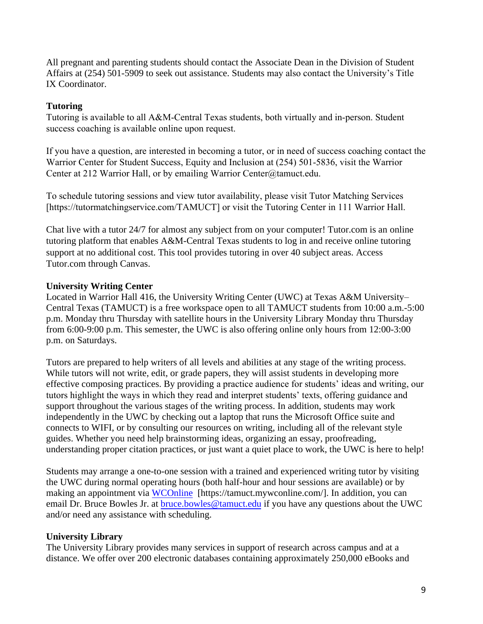All pregnant and parenting students should contact the Associate Dean in the Division of Student Affairs at (254) 501-5909 to seek out assistance. Students may also contact the University's Title IX Coordinator.

## **Tutoring**

Tutoring is available to all A&M-Central Texas students, both virtually and in-person. Student success coaching is available online upon request.

If you have a question, are interested in becoming a tutor, or in need of success coaching contact the Warrior Center for Student Success, Equity and Inclusion at (254) 501-5836, visit the Warrior Center at 212 Warrior Hall, or by emailing Warrior Center@tamuct.edu.

To schedule tutoring sessions and view tutor availability, please visit Tutor Matching Services [https://tutormatchingservice.com/TAMUCT] or v[isit the Tutoring Center in 111 Wa](mailto:deeadra.albertgreen@tamuct.edu)rrior Hall.

Chat live with a tutor 24/7 for almost any subject from on your computer! Tutor.com is an online tutoring platform that enables A&M-Central Texas students to log in and receive online tutoring support at no additional cost. This tool provides tutoring in over 40 subject areas. Access Tutor.com through Canvas.

# **University Writing Center**

Located in Warrior Hall 416, the University Writing Center (UWC) at Texas A&M University– Central Texas (TAMUCT) is a free workspace open to all TAMUCT students from 10:00 a.m.-5:00 p.m. Monday thru Thursday with satellite hours in the University Library Monday thru Thursday from 6:00-9:00 p.m. This semester, the UWC is also offering online only hours from 12:00-3:00 p.m. on Saturdays.

Tutors are prepared to help writers of all levels and abilities at any stage of the writing process. While tutors will not write, edit, or grade papers, they will assist students in developing more effective composing practices. By providing a practice audience for students' ideas and writing, our tutors highlight the ways in which they read and interpret students' texts, offering guidance and support throughout the various stages of the writing process. In addition, students may work independently in the UWC by checking out a laptop that runs the Microsoft Office suite and connects to WIFI, or by consulting our resources on writing, including all of the relevant style guides. Whether you need help brainstorming ideas, organizing an essay, proofreading, understanding proper citation practices, or just want a quiet place to work, the UWC is here to help!

Students may arrange a one-to-one session with a trained and experienced writing tutor by visiting the UWC during normal operating hours (both half-hour and hour sessions are available) or by making an appointment via [WCOnline](https://tamuct.mywconline.com/) [https://tamuct.mywconline.com/]. In addition, you can email Dr. Bruce Bowles Jr. at [bruce.bowles@tamuct.edu](mailto:bruce.bowles@tamuct.edu) if you have any questions about the UWC and/or need any assistance with scheduling.

## **University Library**

The University Library provides many services in support of research across campus and at a distance. We offer over 200 electronic databases containing approximately 250,000 eBooks and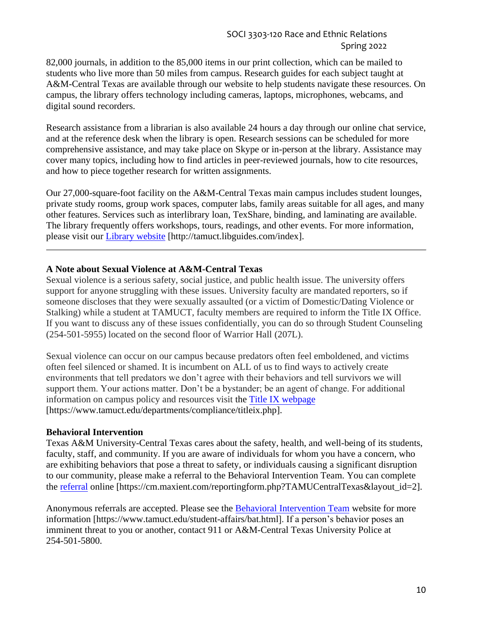82,000 journals, in addition to the 85,000 items in our print collection, which can be mailed to students who live more than 50 miles from campus. Research guides for each subject taught at A&M-Central Texas are available through our website to help students navigate these resources. On campus, the library offers technology including cameras, laptops, microphones, webcams, and digital sound recorders.

Research assistance from a librarian is also available 24 hours a day through our online chat service, and at the reference desk when the library is open. Research sessions can be scheduled for more comprehensive assistance, and may take place on Skype or in-person at the library. Assistance may cover many topics, including how to find articles in peer-reviewed journals, how to cite resources, and how to piece together research for written assignments.

Our 27,000-square-foot facility on the A&M-Central Texas main campus includes student lounges, private study rooms, group work spaces, computer labs, family areas suitable for all ages, and many other features. Services such as interlibrary loan, TexShare, binding, and laminating are available. The library frequently offers workshops, tours, readings, and other events. For more information, please visit our [Library website](https://tamuct.libguides.com/index) [http://tamuct.libguides.com/index].

#### **A Note about Sexual Violence at A&M-Central Texas**

Sexual violence is a serious safety, social justice, and public health issue. The university offers support for anyone struggling with these issues. University faculty are mandated reporters, so if someone discloses that they were sexually assaulted (or a victim of Domestic/Dating Violence or Stalking) while a student at TAMUCT, faculty members are required to inform the Title IX Office. If you want to discuss any of these issues confidentially, you can do so through Student Counseling (254-501-5955) located on the second floor of Warrior Hall (207L).

Sexual violence can occur on our campus because predators often feel emboldened, and victims often feel silenced or shamed. It is incumbent on ALL of us to find ways to actively create environments that tell predators we don't agree with their behaviors and tell survivors we will support them. Your actions matter. Don't be a bystander; be an agent of change. For additional information on campus policy and resources visit the Title IX webpage [https://www.tamuct.edu/departments/compliance/tit[leix.php\].](https://www.tamuct.edu/departments/compliance/titleix.php) 

#### **Behavioral Intervention**

Texas A&M University-Central Texas cares about the safety, health, and well-being of its students, faculty, staff, and community. If you are aware of individuals for whom you have a concern, who are exhibiting behaviors that pose a threat to safety, or individuals causing a significant disruption to our community, please make a referral to the Behavioral Intervention Team. You can complete th[e referral](https://cm.maxient.com/reportingform.php?TAMUCentralTexas&layout_id=2) online [https://cm.maxient.com/reportingform.php?TAMUCentralTexas&layout\_id=2].

Anonymous referrals are accepted. Please see th[e Behavioral Intervention Team](https://www.tamuct.edu/student-affairs/bat.html) website for more information [https://www.tamuct.edu/student-affairs/bat.html]. If a person's behavior poses an imminent threat to you or another, contact 911 or A&M-Central Texas University Police at 254-501-5800.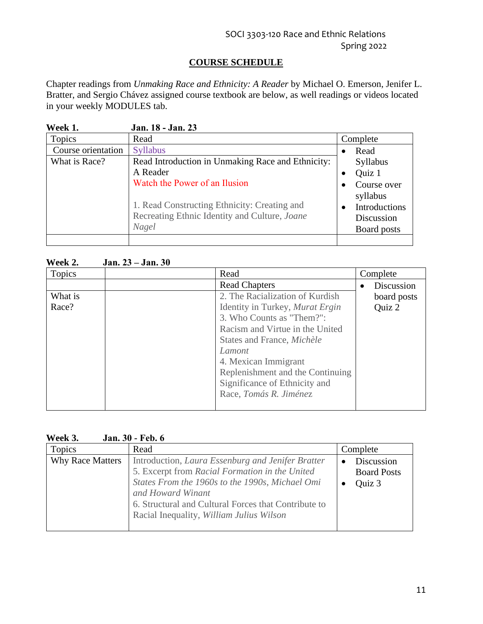# **COURSE SCHEDULE**

Chapter readings from *Unmaking Race and Ethnicity: A Reader* by Michael O. Emerson, Jenifer L. Bratter, and Sergio Chávez assigned course textbook are below, as well readings or videos located in your weekly MODULES tab.

| Week 1.            | Jan. 18 - Jan. 23                                                                                      |           |                                                        |
|--------------------|--------------------------------------------------------------------------------------------------------|-----------|--------------------------------------------------------|
| Topics             | Read                                                                                                   |           | Complete                                               |
| Course orientation | <b>Syllabus</b>                                                                                        | $\bullet$ | Read                                                   |
| What is Race?      | Read Introduction in Unmaking Race and Ethnicity:                                                      |           | Syllabus                                               |
|                    | A Reader                                                                                               | ٠         | Quiz 1                                                 |
|                    | Watch the Power of an Ilusion                                                                          |           | Course over                                            |
|                    | 1. Read Constructing Ethnicity: Creating and<br>Recreating Ethnic Identity and Culture, Joane<br>Nagel | ٠         | syllabus<br>Introductions<br>Discussion<br>Board posts |
|                    |                                                                                                        |           |                                                        |

## **Week 2. Jan. 23 – Jan. 30**

| <b>Topics</b> | Read                             | Complete    |
|---------------|----------------------------------|-------------|
|               | <b>Read Chapters</b>             | Discussion  |
| What is       | 2. The Racialization of Kurdish  | board posts |
| Race?         | Identity in Turkey, Murat Ergin  | Quiz 2      |
|               | 3. Who Counts as "Them?":        |             |
|               | Racism and Virtue in the United  |             |
|               | States and France, Michèle       |             |
|               | Lamont                           |             |
|               | 4. Mexican Immigrant             |             |
|               | Replenishment and the Continuing |             |
|               | Significance of Ethnicity and    |             |
|               | Race, Tomás R. Jiménez           |             |
|               |                                  |             |

| Topics<br>Complete<br>Read<br><b>Why Race Matters</b><br>Introduction, Laura Essenburg and Jenifer Bratter<br>Discussion<br>$\bullet$<br>5. Excerpt from Racial Formation in the United<br><b>Board Posts</b><br>States From the 1960s to the 1990s, Michael Omi<br>Quiz 3<br>and Howard Winant<br>6. Structural and Cultural Forces that Contribute to<br>Racial Inequality, William Julius Wilson | '''''''''''''<br>van. vv |  |
|-----------------------------------------------------------------------------------------------------------------------------------------------------------------------------------------------------------------------------------------------------------------------------------------------------------------------------------------------------------------------------------------------------|--------------------------|--|
|                                                                                                                                                                                                                                                                                                                                                                                                     |                          |  |
|                                                                                                                                                                                                                                                                                                                                                                                                     |                          |  |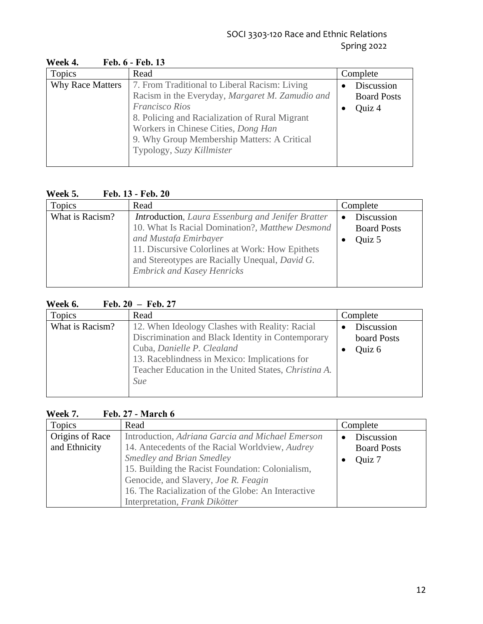| 11 VUIX TI              | 1 V.V. V = 1 V.V. 19                                                                                                                                                                       |                                  |
|-------------------------|--------------------------------------------------------------------------------------------------------------------------------------------------------------------------------------------|----------------------------------|
| Topics                  | Read                                                                                                                                                                                       | Complete                         |
| <b>Why Race Matters</b> | 7. From Traditional to Liberal Racism: Living<br>Racism in the Everyday, Margaret M. Zamudio and                                                                                           | Discussion<br><b>Board Posts</b> |
|                         | <b>Francisco Rios</b><br>8. Policing and Racialization of Rural Migrant<br>Workers in Chinese Cities, Dong Han<br>9. Why Group Membership Matters: A Critical<br>Typology, Suzy Killmister | Quiz 4                           |

#### **Week 4. Feb. 6 - Feb. 13**

# **Week 5. Feb. 13 - Feb. 20**

| Topics          | Read                                                                                                                                                                                                                                                                            | Complete                                   |
|-----------------|---------------------------------------------------------------------------------------------------------------------------------------------------------------------------------------------------------------------------------------------------------------------------------|--------------------------------------------|
| What is Racism? | <b>Introduction</b> , Laura Essenburg and Jenifer Bratter<br>10. What Is Racial Domination?, Matthew Desmond<br>and Mustafa Emirbayer<br>11. Discursive Colorlines at Work: How Epithets<br>and Stereotypes are Racially Unequal, David G.<br><b>Embrick and Kasey Henricks</b> | Discussion<br><b>Board Posts</b><br>Quiz 5 |

# **Week 6. Feb. 20 – Feb. 27**

| Topics          | Read                                                 | Complete    |
|-----------------|------------------------------------------------------|-------------|
| What is Racism? | 12. When Ideology Clashes with Reality: Racial       | Discussion  |
|                 | Discrimination and Black Identity in Contemporary    | board Posts |
|                 | Cuba, Danielle P. Clealand                           | Quiz 6      |
|                 | 13. Raceblindness in Mexico: Implications for        |             |
|                 | Teacher Education in the United States, Christina A. |             |
|                 | Sue                                                  |             |
|                 |                                                      |             |

# **Week 7. Feb. 27 - March 6**

| Topics                           | Read                                                                                                                                                                                                                                                                                                                        | Complete                                   |
|----------------------------------|-----------------------------------------------------------------------------------------------------------------------------------------------------------------------------------------------------------------------------------------------------------------------------------------------------------------------------|--------------------------------------------|
| Origins of Race<br>and Ethnicity | Introduction, Adriana Garcia and Michael Emerson<br>14. Antecedents of the Racial Worldview, Audrey<br><b>Smedley and Brian Smedley</b><br>15. Building the Racist Foundation: Colonialism,<br>Genocide, and Slavery, Joe R. Feagin<br>16. The Racialization of the Globe: An Interactive<br>Interpretation, Frank Dikötter | Discussion<br><b>Board Posts</b><br>Quiz 7 |
|                                  |                                                                                                                                                                                                                                                                                                                             |                                            |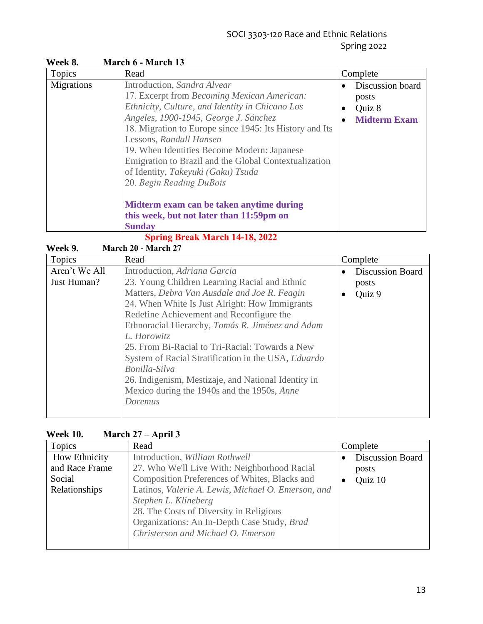# SOCI 3303-120 Race and Ethnic Relations Spring 2022

| Topics     | Read                                                                                                                                                                                                                                                                                                                                                                                                                                                                               | Complete                                                             |
|------------|------------------------------------------------------------------------------------------------------------------------------------------------------------------------------------------------------------------------------------------------------------------------------------------------------------------------------------------------------------------------------------------------------------------------------------------------------------------------------------|----------------------------------------------------------------------|
| Migrations | Introduction, Sandra Alvear<br>17. Excerpt from Becoming Mexican American:<br>Ethnicity, Culture, and Identity in Chicano Los<br>Angeles, 1900-1945, George J. Sánchez<br>18. Migration to Europe since 1945: Its History and Its<br>Lessons, Randall Hansen<br>19. When Identities Become Modern: Japanese<br>Emigration to Brazil and the Global Contextualization<br>of Identity, Takeyuki (Gaku) Tsuda<br>20. Begin Reading DuBois<br>Midterm exam can be taken anytime during | Discussion board<br>posts<br>Quiz 8<br>٠<br><b>Midterm Exam</b><br>٠ |
|            | this week, but not later than 11:59pm on<br><b>Sunday</b>                                                                                                                                                                                                                                                                                                                                                                                                                          |                                                                      |

**Week 8. March 6 - March 13**

**Spring Break March 14-18, 2022**

|--|

| Topics        | Read                                                | Complete                |
|---------------|-----------------------------------------------------|-------------------------|
| Aren't We All | Introduction, Adriana Garcia                        | <b>Discussion Board</b> |
| Just Human?   | 23. Young Children Learning Racial and Ethnic       | posts                   |
|               | Matters, Debra Van Ausdale and Joe R. Feagin        | Quiz 9                  |
|               | 24. When White Is Just Alright: How Immigrants      |                         |
|               | Redefine Achievement and Reconfigure the            |                         |
|               | Ethnoracial Hierarchy, Tomás R. Jiménez and Adam    |                         |
|               | L. Horowitz                                         |                         |
|               | 25. From Bi-Racial to Tri-Racial: Towards a New     |                         |
|               | System of Racial Stratification in the USA, Eduardo |                         |
|               | Bonilla-Silva                                       |                         |
|               | 26. Indigenism, Mestizaje, and National Identity in |                         |
|               | Mexico during the 1940s and the 1950s, Anne         |                         |
|               | Doremus                                             |                         |
|               |                                                     |                         |

## **Week 10. March 27 – April 3**

| Topics                                    | Read                                                                                                                                                                                                       | Complete                                    |
|-------------------------------------------|------------------------------------------------------------------------------------------------------------------------------------------------------------------------------------------------------------|---------------------------------------------|
| How Ethnicity<br>and Race Frame<br>Social | Introduction, William Rothwell<br>27. Who We'll Live With: Neighborhood Racial<br>Composition Preferences of Whites, Blacks and                                                                            | <b>Discussion Board</b><br>posts<br>Quiz 10 |
| Relationships                             | Latinos, Valerie A. Lewis, Michael O. Emerson, and<br>Stephen L. Klineberg<br>28. The Costs of Diversity in Religious<br>Organizations: An In-Depth Case Study, Brad<br>Christerson and Michael O. Emerson |                                             |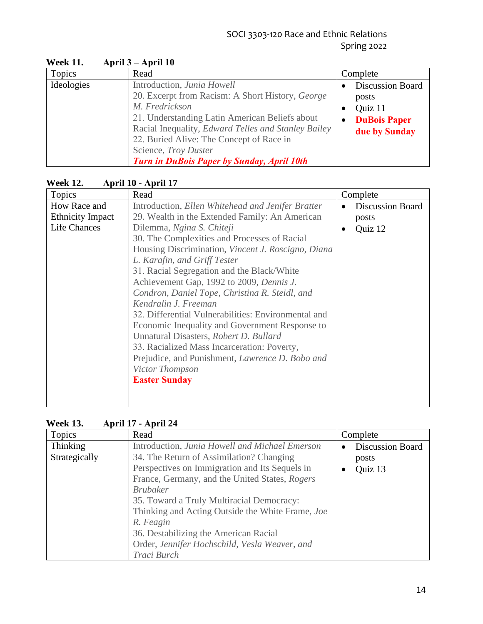| Topics     | Read                                                                                                                                                                                                                                                         | Complete                                                                                                      |
|------------|--------------------------------------------------------------------------------------------------------------------------------------------------------------------------------------------------------------------------------------------------------------|---------------------------------------------------------------------------------------------------------------|
| Ideologies | Introduction, Junia Howell<br>20. Excerpt from Racism: A Short History, George<br>M. Fredrickson<br>21. Understanding Latin American Beliefs about<br>Racial Inequality, <i>Edward Telles and Stanley Bailey</i><br>22. Buried Alive: The Concept of Race in | <b>Discussion Board</b><br>posts<br>Quiz 11<br>$\bullet$<br><b>DuBois Paper</b><br>$\bullet$<br>due by Sunday |
|            | Science, Troy Duster<br>Turn in DuBois Paper by Sunday, April 10th                                                                                                                                                                                           |                                                                                                               |

**Week 11. April 3 – April 10** 

# **Week 12. April 10 - April 17**

| Topics                  | Read                                                   | Complete                |
|-------------------------|--------------------------------------------------------|-------------------------|
| How Race and            | Introduction, Ellen Whitehead and Jenifer Bratter      | <b>Discussion Board</b> |
| <b>Ethnicity Impact</b> | 29. Wealth in the Extended Family: An American         | posts                   |
| <b>Life Chances</b>     | Dilemma, Ngina S. Chiteji                              | Quiz 12                 |
|                         | 30. The Complexities and Processes of Racial           |                         |
|                         | Housing Discrimination, Vincent J. Roscigno, Diana     |                         |
|                         | L. Karafin, and Griff Tester                           |                         |
|                         | 31. Racial Segregation and the Black/White             |                         |
|                         | Achievement Gap, 1992 to 2009, Dennis J.               |                         |
|                         | Condron, Daniel Tope, Christina R. Steidl, and         |                         |
|                         | Kendralin J. Freeman                                   |                         |
|                         | 32. Differential Vulnerabilities: Environmental and    |                         |
|                         | Economic Inequality and Government Response to         |                         |
|                         | Unnatural Disasters, Robert D. Bullard                 |                         |
|                         | 33. Racialized Mass Incarceration: Poverty,            |                         |
|                         | Prejudice, and Punishment, <i>Lawrence D. Bobo and</i> |                         |
|                         | Victor Thompson                                        |                         |
|                         | <b>Easter Sunday</b>                                   |                         |
|                         |                                                        |                         |
|                         |                                                        |                         |

| <b>Topics</b>             | Read                                                                                                                                                                                                                                                           | Complete                                                 |
|---------------------------|----------------------------------------------------------------------------------------------------------------------------------------------------------------------------------------------------------------------------------------------------------------|----------------------------------------------------------|
| Thinking<br>Strategically | Introduction, Junia Howell and Michael Emerson<br>34. The Return of Assimilation? Changing<br>Perspectives on Immigration and Its Sequels in<br>France, Germany, and the United States, Rogers<br><b>Brubaker</b><br>35. Toward a Truly Multiracial Democracy: | <b>Discussion Board</b><br>posts<br>Quiz 13<br>$\bullet$ |
|                           | Thinking and Acting Outside the White Frame, Joe<br>R. Feagin<br>36. Destabilizing the American Racial<br>Order, Jennifer Hochschild, Vesla Weaver, and<br>Traci Burch                                                                                         |                                                          |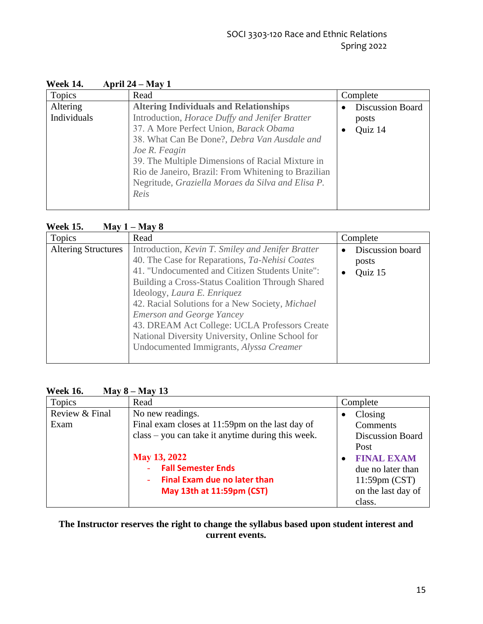| Topics                  | Read                                                                                                                                                                                                                                                                                                                                                                               | Complete                                    |
|-------------------------|------------------------------------------------------------------------------------------------------------------------------------------------------------------------------------------------------------------------------------------------------------------------------------------------------------------------------------------------------------------------------------|---------------------------------------------|
| Altering<br>Individuals | <b>Altering Individuals and Relationships</b><br>Introduction, Horace Duffy and Jenifer Bratter<br>37. A More Perfect Union, Barack Obama<br>38. What Can Be Done?, Debra Van Ausdale and<br>Joe R. Feagin<br>39. The Multiple Dimensions of Racial Mixture in<br>Rio de Janeiro, Brazil: From Whitening to Brazilian<br>Negritude, Graziella Moraes da Silva and Elisa P.<br>Reis | <b>Discussion Board</b><br>posts<br>Quiz 14 |

# **Week 14. April 24 – May 1**

#### **Week 15. May 1 – May 8**

| Topics                     | Read                                                                                                                                                                                                                                                                                                                                                                                                                                                                                   | Complete                                          |
|----------------------------|----------------------------------------------------------------------------------------------------------------------------------------------------------------------------------------------------------------------------------------------------------------------------------------------------------------------------------------------------------------------------------------------------------------------------------------------------------------------------------------|---------------------------------------------------|
| <b>Altering Structures</b> | Introduction, Kevin T. Smiley and Jenifer Bratter<br>40. The Case for Reparations, Ta-Nehisi Coates<br>41. "Undocumented and Citizen Students Unite":<br>Building a Cross-Status Coalition Through Shared<br>Ideology, Laura E. Enriquez<br>42. Racial Solutions for a New Society, <i>Michael</i><br><b>Emerson and George Yancey</b><br>43. DREAM Act College: UCLA Professors Create<br>National Diversity University, Online School for<br>Undocumented Immigrants, Alyssa Creamer | Discussion board<br>posts<br>Quiz 15<br>$\bullet$ |

# **Week 16. May 8 – May 13**

| Topics         | Read                                              | Complete                |
|----------------|---------------------------------------------------|-------------------------|
| Review & Final | No new readings.                                  | Closing<br>$\bullet$    |
| Exam           | Final exam closes at 11:59pm on the last day of   | Comments                |
|                | class – you can take it anytime during this week. | <b>Discussion Board</b> |
|                |                                                   | Post                    |
|                | <b>May 13, 2022</b>                               | <b>FINAL EXAM</b>       |
|                | <b>Fall Semester Ends</b>                         | due no later than       |
|                | <b>Final Exam due no later than</b>               | $11:59 \text{pm} (CST)$ |
|                | May 13th at 11:59pm (CST)                         | on the last day of      |
|                |                                                   | class.                  |

## **The Instructor reserves the right to change the syllabus based upon student interest and current events.**